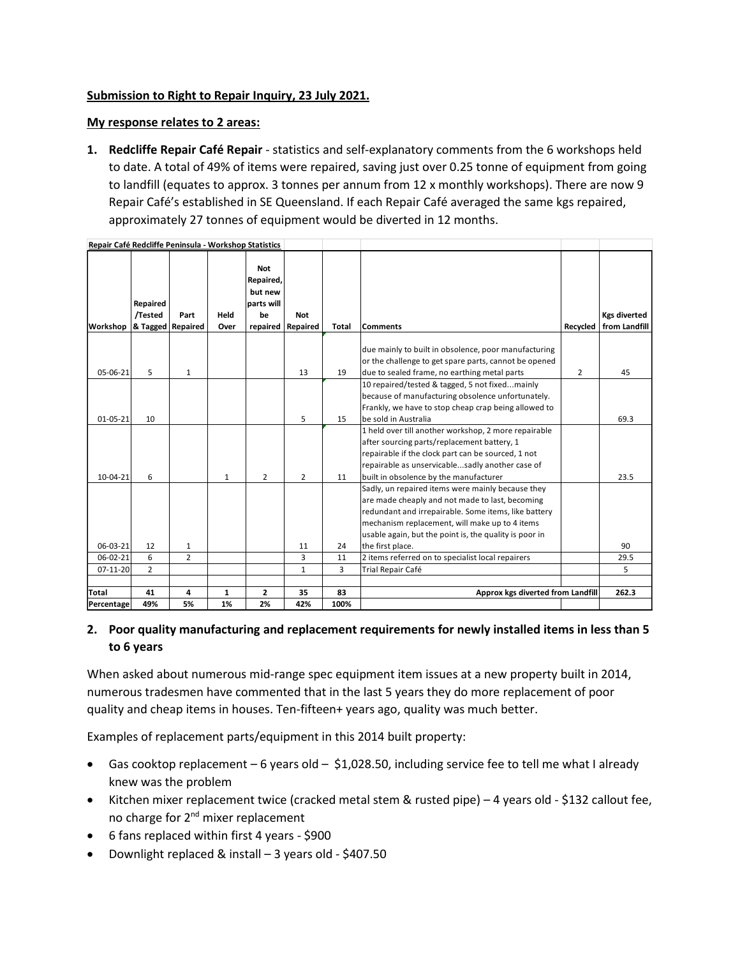## **Submission to Right to Repair Inquiry, 23 July 2021.**

## **My response relates to 2 areas:**

**1. Redcliffe Repair Café Repair** - statistics and self-explanatory comments from the 6 workshops held to date. A total of 49% of items were repaired, saving just over 0.25 tonne of equipment from going to landfill (equates to approx. 3 tonnes per annum from 12 x monthly workshops). There are now 9 Repair Café's established in SE Queensland. If each Repair Café averaged the same kgs repaired, approximately 27 tonnes of equipment would be diverted in 12 months.

| Repair Café Redcliffe Peninsula - Workshop Statistics |                                          |                |              |                                                        |                                 |              |                                                                                                   |                |                                      |
|-------------------------------------------------------|------------------------------------------|----------------|--------------|--------------------------------------------------------|---------------------------------|--------------|---------------------------------------------------------------------------------------------------|----------------|--------------------------------------|
| Workshop                                              | Repaired<br>/Tested<br>& Tagged Repaired | Part           | Held<br>Over | <b>Not</b><br>Repaired,<br>but new<br>parts will<br>be | <b>Not</b><br>repaired Repaired | <b>Total</b> | Comments                                                                                          | Recycled       | <b>Kgs diverted</b><br>from Landfill |
|                                                       |                                          |                |              |                                                        |                                 |              |                                                                                                   |                |                                      |
|                                                       |                                          |                |              |                                                        |                                 |              | due mainly to built in obsolence, poor manufacturing                                              |                |                                      |
|                                                       |                                          |                |              |                                                        |                                 |              | or the challenge to get spare parts, cannot be opened                                             |                |                                      |
| 05-06-21                                              | 5                                        | 1              |              |                                                        | 13                              | 19           | due to sealed frame, no earthing metal parts                                                      | $\overline{2}$ | 45                                   |
|                                                       |                                          |                |              |                                                        |                                 |              | 10 repaired/tested & tagged, 5 not fixedmainly                                                    |                |                                      |
|                                                       |                                          |                |              |                                                        |                                 |              | because of manufacturing obsolence unfortunately.                                                 |                |                                      |
|                                                       |                                          |                |              |                                                        |                                 |              | Frankly, we have to stop cheap crap being allowed to                                              |                |                                      |
| 01-05-21                                              | 10                                       |                |              |                                                        | 5                               | 15           | be sold in Australia                                                                              |                | 69.3                                 |
|                                                       |                                          |                |              |                                                        |                                 |              | 1 held over till another workshop, 2 more repairable                                              |                |                                      |
|                                                       |                                          |                |              |                                                        |                                 |              | after sourcing parts/replacement battery, 1<br>repairable if the clock part can be sourced, 1 not |                |                                      |
|                                                       |                                          |                |              |                                                        |                                 |              | repairable as unservicablesadly another case of                                                   |                |                                      |
| 10-04-21                                              | 6                                        |                | 1            | $\overline{2}$                                         | $\overline{2}$                  | 11           | built in obsolence by the manufacturer                                                            |                | 23.5                                 |
|                                                       |                                          |                |              |                                                        |                                 |              | Sadly, un repaired items were mainly because they                                                 |                |                                      |
|                                                       |                                          |                |              |                                                        |                                 |              | are made cheaply and not made to last, becoming                                                   |                |                                      |
|                                                       |                                          |                |              |                                                        |                                 |              | redundant and irrepairable. Some items, like battery                                              |                |                                      |
|                                                       |                                          |                |              |                                                        |                                 |              | mechanism replacement, will make up to 4 items                                                    |                |                                      |
|                                                       |                                          |                |              |                                                        |                                 |              | usable again, but the point is, the quality is poor in                                            |                |                                      |
| 06-03-21                                              | 12                                       | 1              |              |                                                        | 11                              | 24           | the first place.                                                                                  |                | 90                                   |
| 06-02-21                                              | 6                                        | $\overline{2}$ |              |                                                        | 3                               | 11           | 2 items referred on to specialist local repairers                                                 |                | 29.5                                 |
| 07-11-20                                              | $\overline{2}$                           |                |              |                                                        | $\mathbf{1}$                    | 3            | Trial Repair Café                                                                                 |                | 5                                    |
|                                                       |                                          |                |              |                                                        |                                 |              |                                                                                                   |                |                                      |
| Total                                                 | 41                                       | 4              | 1            | $\overline{2}$                                         | 35                              | 83           | Approx kgs diverted from Landfill                                                                 |                | 262.3                                |
| Percentage                                            | 49%                                      | 5%             | 1%           | 2%                                                     | 42%                             | 100%         |                                                                                                   |                |                                      |

## **2. Poor quality manufacturing and replacement requirements for newly installed items in less than 5 to 6 years**

When asked about numerous mid-range spec equipment item issues at a new property built in 2014, numerous tradesmen have commented that in the last 5 years they do more replacement of poor quality and cheap items in houses. Ten-fifteen+ years ago, quality was much better.

Examples of replacement parts/equipment in this 2014 built property:

- Gas cooktop replacement 6 years old \$1,028.50, including service fee to tell me what I already knew was the problem
- Kitchen mixer replacement twice (cracked metal stem & rusted pipe) 4 years old \$132 callout fee, no charge for 2<sup>nd</sup> mixer replacement
- 6 fans replaced within first 4 years \$900
- Downlight replaced & install 3 years old \$407.50